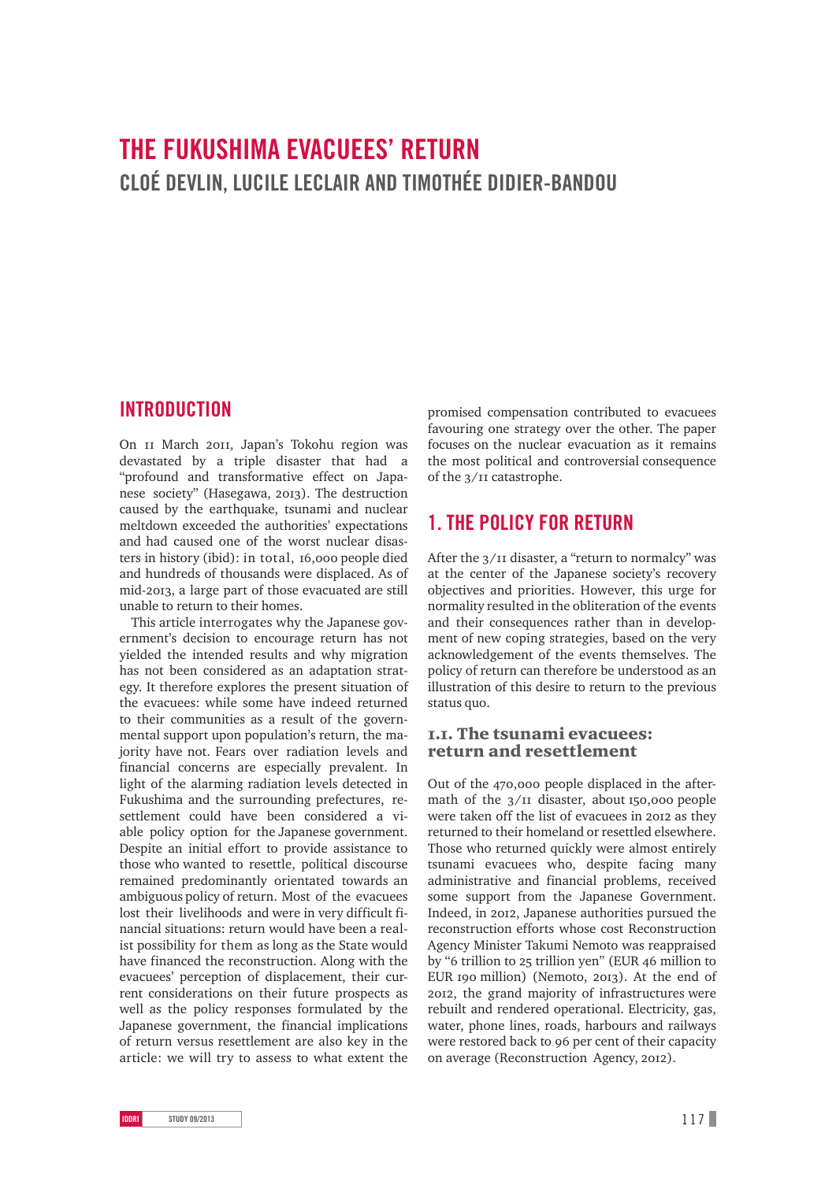# **THE FUKUSHIMA EVACUEES' RETURN CLOÉ DEVLIN, LUCILE LECLAIR AND TIMOTHÉE DIDIER-BANDOU**

# **INTRODUCTION**

On II March 20II, Japan's Tokohu region was devastated by a triple disaster that had a "profound and transformative effect on Japanese society" (Hasegawa, 2013). The destruction caused by the earthquake, tsunami and nuclear meltdown exceeded the authorities' expectations and had caused one of the worst nuclear disasters in history (ibid): in total,  $16,000$  people died and hundreds of thousands were displaced. As of mid-2013, a large part of those evacuated are still unable to return to their homes.

This article interrogates why the Japanese government's decision to encourage return has not yielded the intended results and why migration has not been considered as an adaptation strategy. It therefore explores the present situation of the evacuees: while some have indeed returned to their communities as a result of the governmental support upon population's return, the majority have not. Fears over radiation levels and financial concerns are especially prevalent. In light of the alarming radiation levels detected in Fukushima and the surrounding prefectures, resettlement could have been considered a viable policy option for the Japanese government. Despite an initial effort to provide assistance to those who wanted to resettle, political discourse remained predominantly orientated towards an ambiguous policy of return. Most of the evacuees lost their livelihoods and were in very difficult financial situations: return would have been a realist possibility for them as long as the State would have financed the reconstruction. Along with the evacuees' perception of displacement, their current considerations on their future prospects as well as the policy responses formulated by the Japanese government, the financial implications of return versus resettlement are also key in the article: we will try to assess to what extent the

promised compensation contributed to evacuees favouring one strategy over the other. The paper focuses on the nuclear evacuation as it remains the most political and controversial consequence of the  $3/II$  catastrophe.

# **1. THE POLICY FOR RETURN**

After the  $3/$ II disaster, a "return to normalcy" was at the center of the Japanese society's recovery objectives and priorities. However, this urge for normality resulted in the obliteration of the events and their consequences rather than in development of new coping strategies, based on the very acknowledgement of the events themselves. The policy of return can therefore be understood as an illustration of this desire to return to the previous status quo.

### .. The tsunami evacuees: return and resettlement

Out of the 470,000 people displaced in the aftermath of the  $3/II$  disaster, about 150,000 people were taken off the list of evacuees in 2012 as they returned to their homeland or resettled elsewhere. Those who returned quickly were almost entirely tsunami evacuees who, despite facing many administrative and financial problems, received some support from the Japanese Government. Indeed, in 2012, Japanese authorities pursued the reconstruction efforts whose cost Reconstruction Agency Minister Takumi Nemoto was reappraised by "6 trillion to 25 trillion yen" (EUR 46 million to EUR  $\text{ro}$  million) (Nemoto, 2013). At the end of , the grand majority of infrastructures were rebuilt and rendered operational. Electricity, gas, water, phone lines, roads, harbours and railways were restored back to 96 per cent of their capacity on average (Reconstruction Agency, 2012).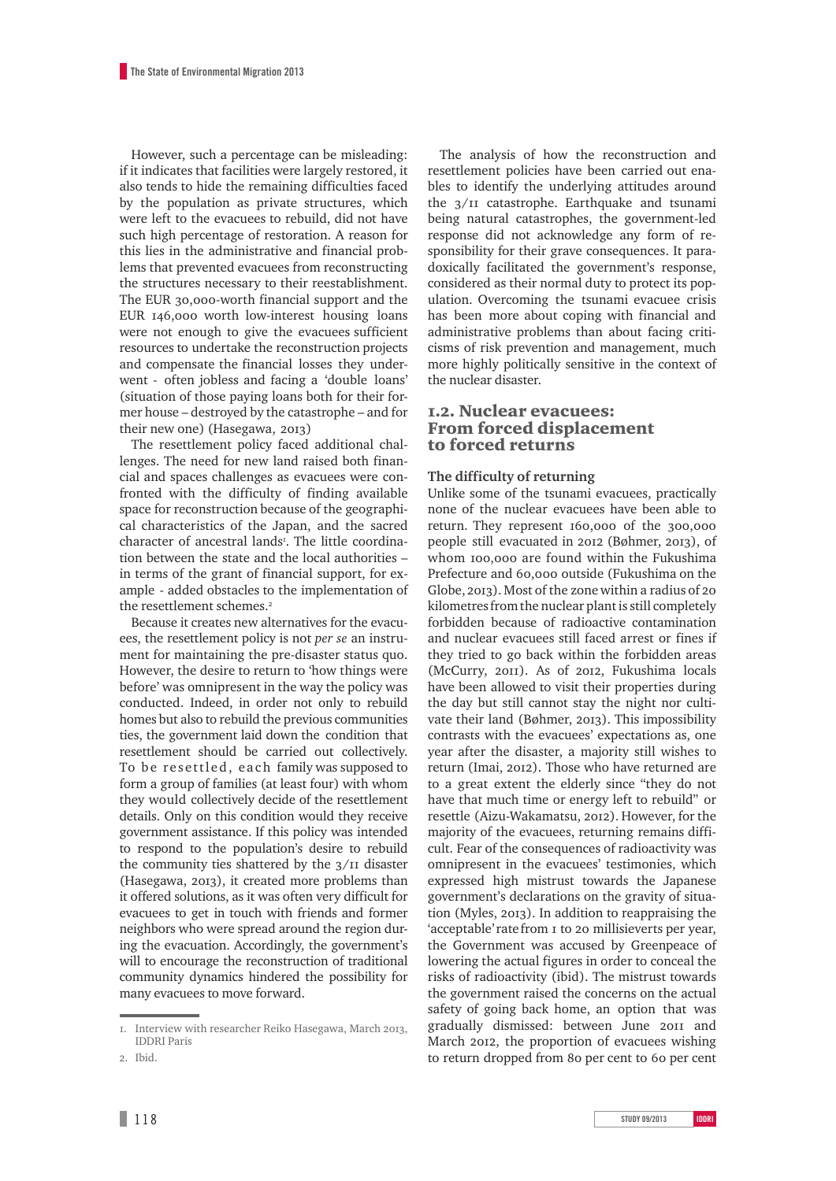However, such a percentage can be misleading: if it indicates that facilities were largely restored, it also tends to hide the remaining difficulties faced by the population as private structures, which were left to the evacuees to rebuild, did not have such high percentage of restoration. A reason for this lies in the administrative and financial problems that prevented evacuees from reconstructing the structures necessary to their reestablishment. The EUR 30,000-worth financial support and the EUR  $146,000$  worth low-interest housing loans were not enough to give the evacuees sufficient resources to undertake the reconstruction projects and compensate the financial losses they underwent - often jobless and facing a 'double loans' (situation of those paying loans both for their former house – destroyed by the catastrophe – and for their new one) (Hasegawa,  $2013$ )

The resettlement policy faced additional challenges. The need for new land raised both financial and spaces challenges as evacuees were confronted with the difficulty of finding available space for reconstruction because of the geographical characteristics of the Japan, and the sacred character of ancestral lands . The little coordination between the state and the local authorities – in terms of the grant of financial support, for example - added obstacles to the implementation of the resettlement schemes.

Because it creates new alternatives for the evacuees, the resettlement policy is not *per se* an instrument for maintaining the pre-disaster status quo. However, the desire to return to 'how things were before' was omnipresent in the way the policy was conducted. Indeed, in order not only to rebuild homes but also to rebuild the previous communities ties, the government laid down the condition that resettlement should be carried out collectively. To be resettled, each family was supposed to form a group of families (at least four) with whom they would collectively decide of the resettlement details. Only on this condition would they receive government assistance. If this policy was intended to respond to the population's desire to rebuild the community ties shattered by the  $3/11$  disaster (Hasegawa, 2013), it created more problems than it offered solutions, as it was often very difficult for evacuees to get in touch with friends and former neighbors who were spread around the region during the evacuation. Accordingly, the government's will to encourage the reconstruction of traditional community dynamics hindered the possibility for many evacuees to move forward.

The analysis of how the reconstruction and resettlement policies have been carried out enables to identify the underlying attitudes around the  $3/II$  catastrophe. Earthquake and tsunami being natural catastrophes, the government-led response did not acknowledge any form of responsibility for their grave consequences. It paradoxically facilitated the government's response, considered as their normal duty to protect its population. Overcoming the tsunami evacuee crisis has been more about coping with financial and administrative problems than about facing criticisms of risk prevention and management, much more highly politically sensitive in the context of the nuclear disaster.

#### .. Nuclear evacuees: From forced displacement to forced returns

#### **The difficulty of returning**

Unlike some of the tsunami evacuees, practically none of the nuclear evacuees have been able to return. They represent 160,000 of the 300,000 people still evacuated in 2012 (Bøhmer, 2013), of whom 100,000 are found within the Fukushima Prefecture and 60,000 outside (Fukushima on the Globe, 2013). Most of the zone within a radius of 20 kilometres from the nuclear plant is still completely forbidden because of radioactive contamination and nuclear evacuees still faced arrest or fines if they tried to go back within the forbidden areas (McCurry, 2011). As of 2012, Fukushima locals have been allowed to visit their properties during the day but still cannot stay the night nor cultivate their land (Bøhmer, 2013). This impossibility contrasts with the evacuees' expectations as, one year after the disaster, a majority still wishes to return (Imai, 2012). Those who have returned are to a great extent the elderly since "they do not have that much time or energy left to rebuild" or resettle (Aizu-Wakamatsu, 2012). However, for the majority of the evacuees, returning remains difficult. Fear of the consequences of radioactivity was omnipresent in the evacuees' testimonies, which expressed high mistrust towards the Japanese government's declarations on the gravity of situation (Myles, 2013). In addition to reappraising the 'acceptable' rate from I to 20 millisieverts per year, the Government was accused by Greenpeace of lowering the actual figures in order to conceal the risks of radioactivity (ibid). The mistrust towards the government raised the concerns on the actual safety of going back home, an option that was gradually dismissed: between June 2011 and March 2012, the proportion of evacuees wishing to return dropped from 80 per cent to 60 per cent

<sup>1.</sup> Interview with researcher Reiko Hasegawa, March 2013, IDDRI Paris

<sup>.</sup> Ibid.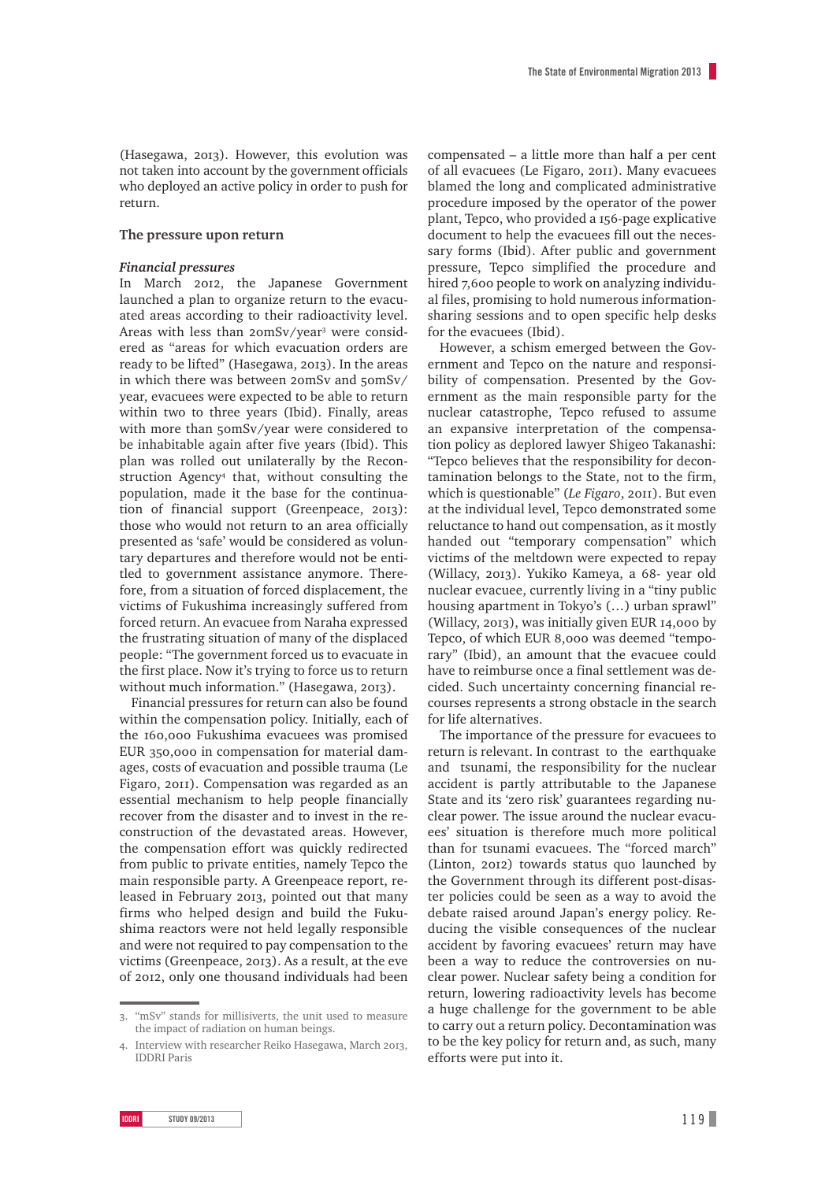(Hasegawa, 2013). However, this evolution was not taken into account by the government officials who deployed an active policy in order to push for return.

#### **The pressure upon return**

#### *Financial pressures*

In March 2012, the Japanese Government launched a plan to organize return to the evacuated areas according to their radioactivity level. Areas with less than 20mSv/year<sup>3</sup> were considered as "areas for which evacuation orders are ready to be lifted" (Hasegawa, 2013). In the areas in which there was between  $2$ omSv and  $5$ omSv/ year, evacuees were expected to be able to return within two to three years (Ibid). Finally, areas with more than 50mSv/year were considered to be inhabitable again after five years (Ibid). This plan was rolled out unilaterally by the Reconstruction Agency that, without consulting the population, made it the base for the continuation of financial support (Greenpeace, 2013): those who would not return to an area officially presented as 'safe' would be considered as voluntary departures and therefore would not be entitled to government assistance anymore. Therefore, from a situation of forced displacement, the victims of Fukushima increasingly suffered from forced return. An evacuee from Naraha expressed the frustrating situation of many of the displaced people: "The government forced us to evacuate in the first place. Now it's trying to force us to return without much information." (Hasegawa, 2013).

Financial pressures for return can also be found within the compensation policy. Initially, each of the 160,000 Fukushima evacuees was promised EUR 350,000 in compensation for material damages, costs of evacuation and possible trauma (Le Figaro, 2011). Compensation was regarded as an essential mechanism to help people financially recover from the disaster and to invest in the reconstruction of the devastated areas. However, the compensation effort was quickly redirected from public to private entities, namely Tepco the main responsible party. A Greenpeace report, released in February 2013, pointed out that many firms who helped design and build the Fukushima reactors were not held legally responsible and were not required to pay compensation to the victims (Greenpeace, 2013). As a result, at the eve of 2012, only one thousand individuals had been

compensated – a little more than half a per cent of all evacuees (Le Figaro, 2011). Many evacuees blamed the long and complicated administrative procedure imposed by the operator of the power plant, Tepco, who provided a 156-page explicative document to help the evacuees fill out the necessary forms (Ibid). After public and government pressure, Tepco simplified the procedure and hired 7,600 people to work on analyzing individual files, promising to hold numerous informationsharing sessions and to open specific help desks for the evacuees (Ibid).

However, a schism emerged between the Government and Tepco on the nature and responsibility of compensation. Presented by the Government as the main responsible party for the nuclear catastrophe, Tepco refused to assume an expansive interpretation of the compensation policy as deplored lawyer Shigeo Takanashi: "Tepco believes that the responsibility for decontamination belongs to the State, not to the firm, which is questionable" (*Le Figaro*, 2011). But even at the individual level, Tepco demonstrated some reluctance to hand out compensation, as it mostly handed out "temporary compensation" which victims of the meltdown were expected to repay (Willacy, 2013). Yukiko Kameya, a 68- year old nuclear evacuee, currently living in a "tiny public housing apartment in Tokyo's (…) urban sprawl" (Willacy, 2013), was initially given EUR  $I4,000$  by Tepco, of which EUR 8,000 was deemed "temporary" (Ibid), an amount that the evacuee could have to reimburse once a final settlement was decided. Such uncertainty concerning financial recourses represents a strong obstacle in the search for life alternatives.

The importance of the pressure for evacuees to return is relevant. In contrast to the earthquake and tsunami, the responsibility for the nuclear accident is partly attributable to the Japanese State and its 'zero risk' guarantees regarding nuclear power. The issue around the nuclear evacuees' situation is therefore much more political than for tsunami evacuees. The "forced march" (Linton, 2012) towards status quo launched by the Government through its different post-disaster policies could be seen as a way to avoid the debate raised around Japan's energy policy. Reducing the visible consequences of the nuclear accident by favoring evacuees' return may have been a way to reduce the controversies on nuclear power. Nuclear safety being a condition for return, lowering radioactivity levels has become a huge challenge for the government to be able to carry out a return policy. Decontamination was to be the key policy for return and, as such, many efforts were put into it.

<sup>.</sup> "mSv" stands for millisiverts, the unit used to measure the impact of radiation on human beings.

<sup>4.</sup> Interview with researcher Reiko Hasegawa, March 2013, IDDRI Paris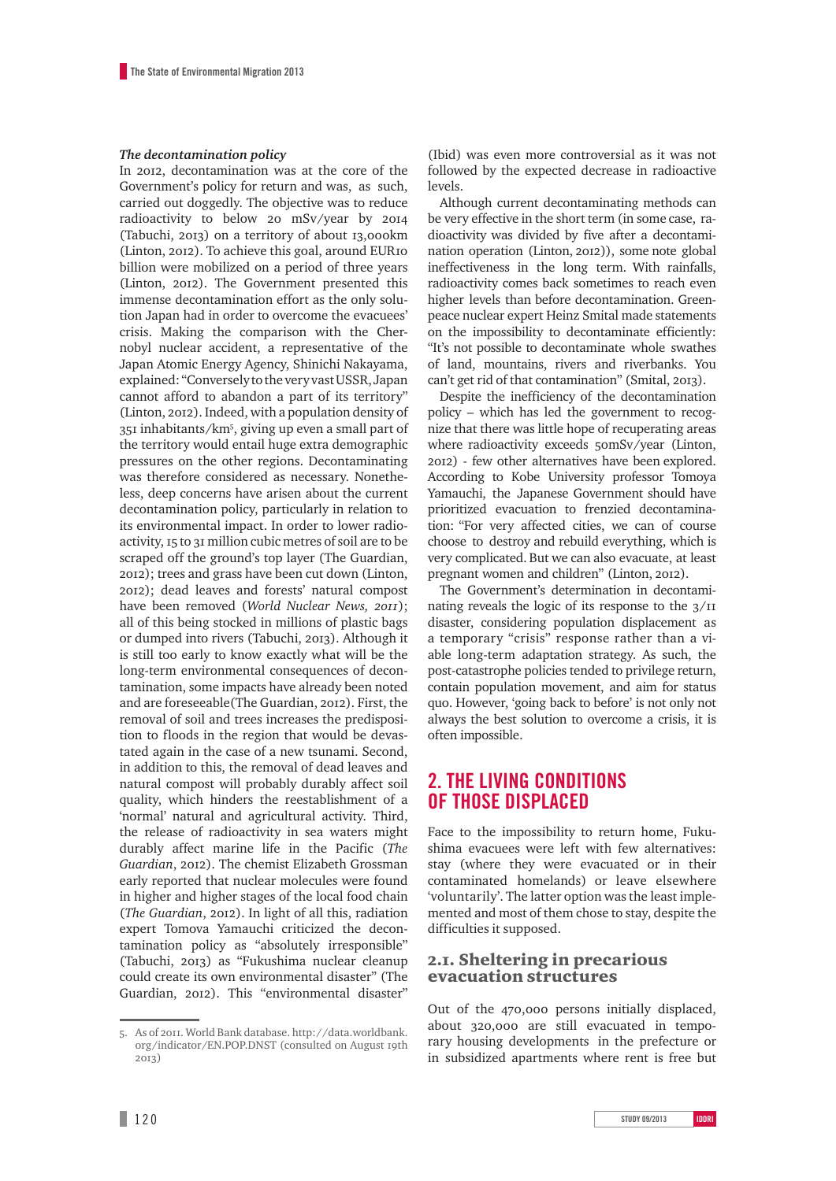#### *The decontamination policy*

In 2012, decontamination was at the core of the Government's policy for return and was, as such, carried out doggedly. The objective was to reduce radioactivity to below 20 mSv/year by 2014 (Tabuchi, 2013) on a territory of about 13,000km (Linton, 2012). To achieve this goal, around EURIO billion were mobilized on a period of three years (Linton, 2012). The Government presented this immense decontamination effort as the only solution Japan had in order to overcome the evacuees' crisis. Making the comparison with the Chernobyl nuclear accident, a representative of the Japan Atomic Energy Agency, Shinichi Nakayama, explained: "Conversely to the very vast USSR, Japan cannot afford to abandon a part of its territory" (Linton, 2012). Indeed, with a population density of 351 inhabitants/km<sup>5</sup>, giving up even a small part of the territory would entail huge extra demographic pressures on the other regions. Decontaminating was therefore considered as necessary. Nonetheless, deep concerns have arisen about the current decontamination policy, particularly in relation to its environmental impact. In order to lower radioactivity, 15 to 31 million cubic metres of soil are to be scraped off the ground's top layer (The Guardian, ); trees and grass have been cut down (Linton, ); dead leaves and forests' natural compost have been removed (*World Nuclear News, 2011*); all of this being stocked in millions of plastic bags or dumped into rivers (Tabuchi, 2013). Although it is still too early to know exactly what will be the long-term environmental consequences of decontamination, some impacts have already been noted and are foreseeable (The Guardian, 2012). First, the removal of soil and trees increases the predisposition to floods in the region that would be devastated again in the case of a new tsunami. Second, in addition to this, the removal of dead leaves and natural compost will probably durably affect soil quality, which hinders the reestablishment of a 'normal' natural and agricultural activity. Third, the release of radioactivity in sea waters might durably affect marine life in the Pacific (*The*  Guardian, 2012). The chemist Elizabeth Grossman early reported that nuclear molecules were found in higher and higher stages of the local food chain (The Guardian, 2012). In light of all this, radiation expert Tomova Yamauchi criticized the decontamination policy as "absolutely irresponsible" (Tabuchi, 2013) as "Fukushima nuclear cleanup could create its own environmental disaster" (The Guardian, 2012). This "environmental disaster"

(Ibid) was even more controversial as it was not followed by the expected decrease in radioactive levels.

Although current decontaminating methods can be very effective in the short term (in some case, radioactivity was divided by five after a decontamination operation (Linton, 2012)), some note global ineffectiveness in the long term. With rainfalls, radioactivity comes back sometimes to reach even higher levels than before decontamination. Greenpeace nuclear expert Heinz Smital made statements on the impossibility to decontaminate efficiently: "It's not possible to decontaminate whole swathes of land, mountains, rivers and riverbanks. You can't get rid of that contamination" (Smital, 2013).

Despite the inefficiency of the decontamination policy – which has led the government to recognize that there was little hope of recuperating areas where radioactivity exceeds 50mSv/year (Linton, ) - few other alternatives have been explored. According to Kobe University professor Tomoya Yamauchi, the Japanese Government should have prioritized evacuation to frenzied decontamination: "For very affected cities, we can of course choose to destroy and rebuild everything, which is very complicated. But we can also evacuate, at least pregnant women and children" (Linton, 2012).

The Government's determination in decontaminating reveals the logic of its response to the  $3/11$ disaster, considering population displacement as a temporary "crisis" response rather than a viable long-term adaptation strategy. As such, the post-catastrophe policies tended to privilege return, contain population movement, and aim for status quo. However, 'going back to before' is not only not always the best solution to overcome a crisis, it is often impossible.

# **2. THE LIVING CONDITIONS OF THOSE DISPLACED**

Face to the impossibility to return home, Fukushima evacuees were left with few alternatives: stay (where they were evacuated or in their contaminated homelands) or leave elsewhere 'voluntarily'. The latter option was the least implemented and most of them chose to stay, despite the difficulties it supposed.

#### .. Sheltering in precarious evacuation structures

Out of the 470,000 persons initially displaced, about 320,000 are still evacuated in temporary housing developments in the prefecture or in subsidized apartments where rent is free but

<sup>5.</sup> As of 2011. World Bank database. [http://data.worldbank.](http://data.worldbank.org/indicator/EN.POP.DNST) [org/indicator/EN.POP.DNST](http://data.worldbank.org/indicator/EN.POP.DNST) (consulted on August th 2013)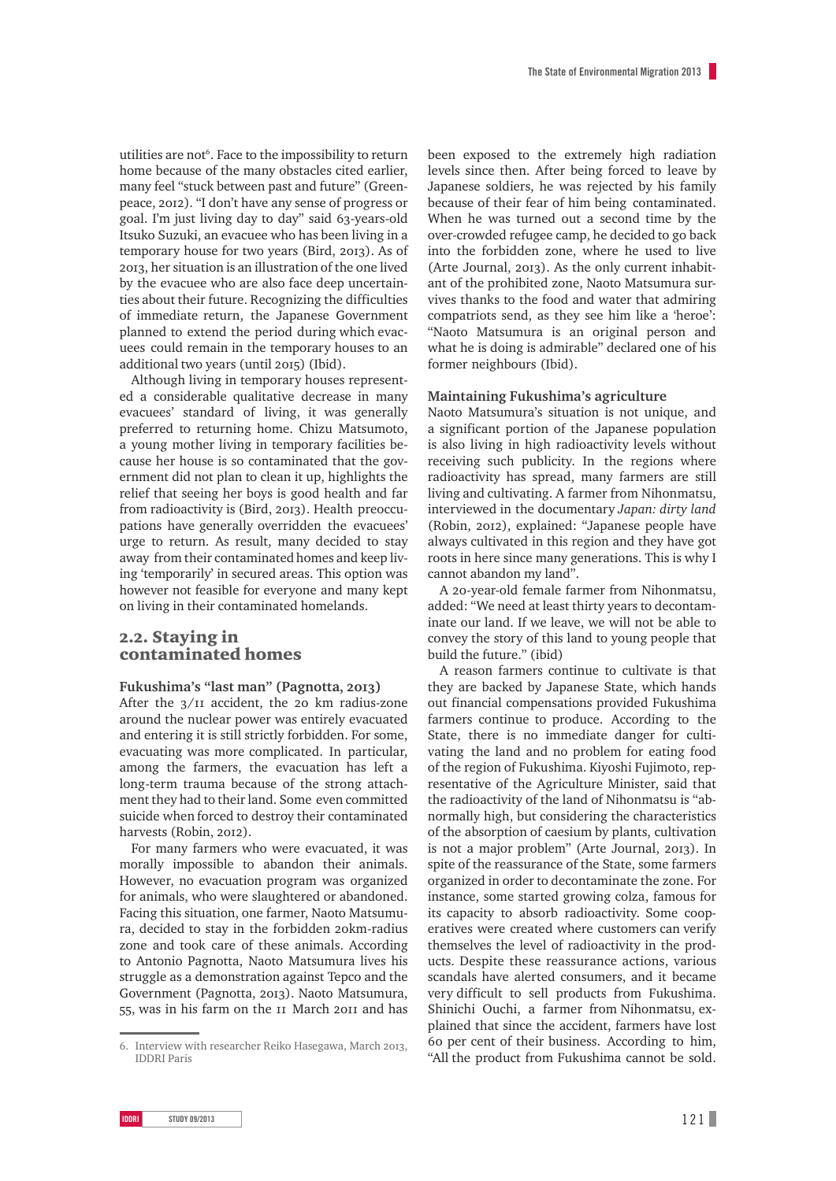utilities are not . Face to the impossibility to return home because of the many obstacles cited earlier, many feel "stuck between past and future" (Greenpeace, 2012). "I don't have any sense of progress or goal. I'm just living day to day" said 63-years-old Itsuko Suzuki, an evacuee who has been living in a temporary house for two years (Bird, 2013). As of , her situation is an illustration of the one lived by the evacuee who are also face deep uncertainties about their future. Recognizing the difficulties of immediate return, the Japanese Government planned to extend the period during which evacuees could remain in the temporary houses to an additional two years (until 2015) (Ibid).

Although living in temporary houses represented a considerable qualitative decrease in many evacuees' standard of living, it was generally preferred to returning home. Chizu Matsumoto, a young mother living in temporary facilities because her house is so contaminated that the government did not plan to clean it up, highlights the relief that seeing her boys is good health and far from radioactivity is (Bird, 2013). Health preoccupations have generally overridden the evacuees' urge to return. As result, many decided to stay away from their contaminated homes and keep living 'temporarily' in secured areas. This option was however not feasible for everyone and many kept on living in their contaminated homelands.

### 2.2. Staving in contaminated homes

#### Fukushima's "last man" (Pagnotta, 2013)

After the  $3/II$  accident, the 20 km radius-zone around the nuclear power was entirely evacuated and entering it is still strictly forbidden. For some, evacuating was more complicated. In particular, among the farmers, the evacuation has left a long-term trauma because of the strong attachment they had to their land. Some even committed suicide when forced to destroy their contaminated harvests (Robin, 2012).

For many farmers who were evacuated, it was morally impossible to abandon their animals. However, no evacuation program was organized for animals, who were slaughtered or abandoned. Facing this situation, one farmer, Naoto Matsumura, decided to stay in the forbidden km-radius zone and took care of these animals. According to Antonio Pagnotta, Naoto Matsumura lives his struggle as a demonstration against Tepco and the Government (Pagnotta, 2013). Naoto Matsumura, 55, was in his farm on the II March 20II and has

been exposed to the extremely high radiation levels since then. After being forced to leave by Japanese soldiers, he was rejected by his family because of their fear of him being contaminated. When he was turned out a second time by the over-crowded refugee camp, he decided to go back into the forbidden zone, where he used to live (Arte Journal, 2013). As the only current inhabitant of the prohibited zone, Naoto Matsumura survives thanks to the food and water that admiring compatriots send, as they see him like a 'heroe': "Naoto Matsumura is an original person and what he is doing is admirable" declared one of his former neighbours (Ibid).

#### **Maintaining Fukushima's agriculture**

Naoto Matsumura's situation is not unique, and a significant portion of the Japanese population is also living in high radioactivity levels without receiving such publicity. In the regions where radioactivity has spread, many farmers are still living and cultivating. A farmer from Nihonmatsu, interviewed in the documentary *Japan: dirty land*  (Robin, 2012), explained: "Japanese people have always cultivated in this region and they have got roots in here since many generations. This is why I cannot abandon my land".

A 20-year-old female farmer from Nihonmatsu, added: "We need at least thirty years to decontaminate our land. If we leave, we will not be able to convey the story of this land to young people that build the future." (ibid)

A reason farmers continue to cultivate is that they are backed by Japanese State, which hands out financial compensations provided Fukushima farmers continue to produce. According to the State, there is no immediate danger for cultivating the land and no problem for eating food of the region of Fukushima. Kiyoshi Fujimoto, representative of the Agriculture Minister, said that the radioactivity of the land of Nihonmatsu is "abnormally high, but considering the characteristics of the absorption of caesium by plants, cultivation is not a major problem" (Arte Journal, 2013). In spite of the reassurance of the State, some farmers organized in order to decontaminate the zone. For instance, some started growing colza, famous for its capacity to absorb radioactivity. Some cooperatives were created where customers can verify themselves the level of radioactivity in the products. Despite these reassurance actions, various scandals have alerted consumers, and it became very difficult to sell products from Fukushima. Shinichi Ouchi, a farmer from Nihonmatsu, explained that since the accident, farmers have lost per cent of their business. According to him, "All the product from Fukushima cannot be sold.

<sup>6.</sup> Interview with researcher Reiko Hasegawa, March 2013, IDDRI Paris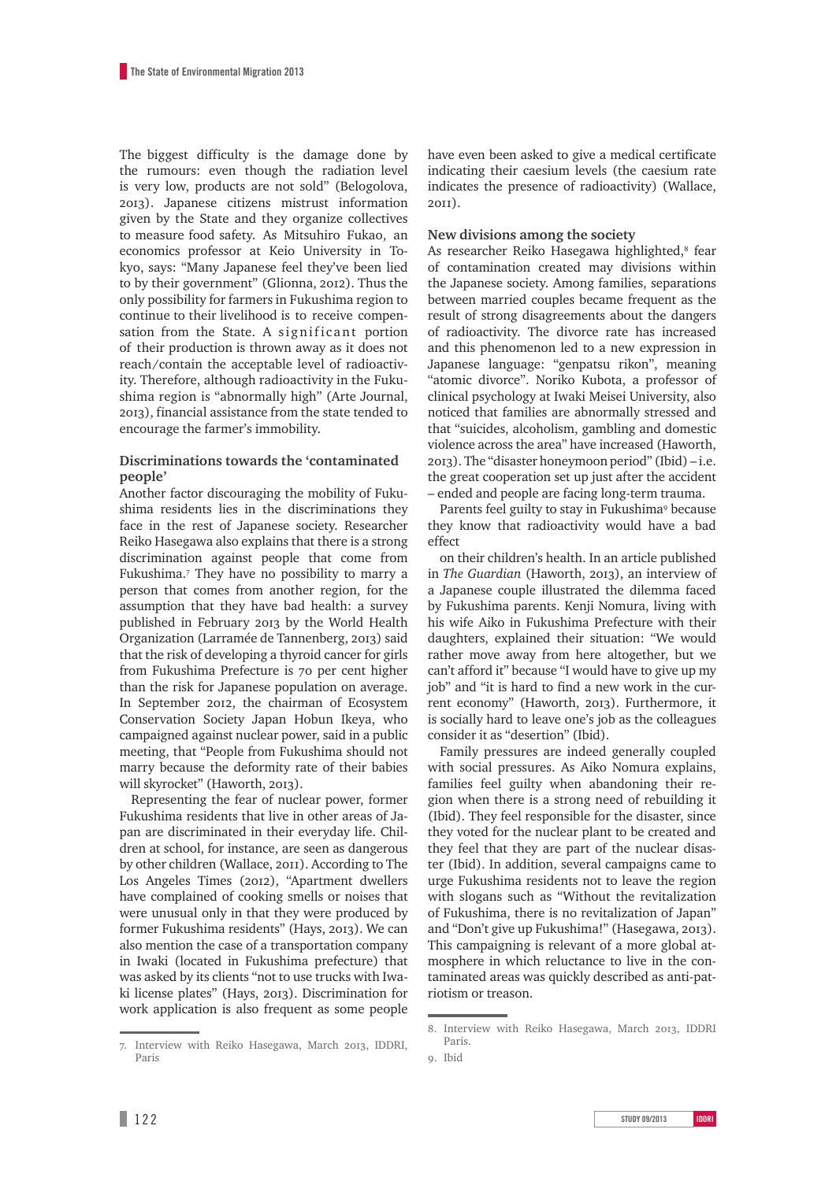The biggest difficulty is the damage done by the rumours: even though the radiation level is very low, products are not sold" (Belogolova, ). Japanese citizens mistrust information given by the State and they organize collectives to measure food safety. As Mitsuhiro Fukao, an economics professor at Keio University in Tokyo, says: "Many Japanese feel they've been lied to by their government" (Glionna, 2012). Thus the only possibility for farmers in Fukushima region to continue to their livelihood is to receive compensation from the State. A significant portion of their production is thrown away as it does not reach/contain the acceptable level of radioactivity. Therefore, although radioactivity in the Fukushima region is "abnormally high" (Arte Journal, ), financial assistance from the state tended to encourage the farmer's immobility.

#### **Discriminations towards the 'contaminated people'**

Another factor discouraging the mobility of Fukushima residents lies in the discriminations they face in the rest of Japanese society. Researcher Reiko Hasegawa also explains that there is a strong discrimination against people that come from Fukushima. They have no possibility to marry a person that comes from another region, for the assumption that they have bad health: a survey published in February 2013 by the World Health Organization (Larramée de Tannenberg, 2013) said that the risk of developing a thyroid cancer for girls from Fukushima Prefecture is 70 per cent higher than the risk for Japanese population on average. In September 2012, the chairman of Ecosystem Conservation Society Japan Hobun Ikeya, who campaigned against nuclear power, said in a public meeting, that "People from Fukushima should not marry because the deformity rate of their babies will skyrocket" (Haworth, 2013).

Representing the fear of nuclear power, former Fukushima residents that live in other areas of Japan are discriminated in their everyday life. Children at school, for instance, are seen as dangerous by other children (Wallace, 2011). According to The Los Angeles Times (2012), "Apartment dwellers have complained of cooking smells or noises that were unusual only in that they were produced by former Fukushima residents" (Hays, 2013). We can also mention the case of a transportation company in Iwaki (located in Fukushima prefecture) that was asked by its clients "not to use trucks with Iwaki license plates" (Hays, 2013). Discrimination for work application is also frequent as some people have even been asked to give a medical certificate indicating their caesium levels (the caesium rate indicates the presence of radioactivity) (Wallace, ).

#### **New divisions among the society**

As researcher Reiko Hasegawa highlighted, fear of contamination created may divisions within the Japanese society. Among families, separations between married couples became frequent as the result of strong disagreements about the dangers of radioactivity. The divorce rate has increased and this phenomenon led to a new expression in Japanese language: "genpatsu rikon", meaning "atomic divorce". Noriko Kubota, a professor of clinical psychology at Iwaki Meisei University, also noticed that families are abnormally stressed and that "suicides, alcoholism, gambling and domestic violence across the area" have increased (Haworth, ). The "disaster honeymoon period" (Ibid) – i.e. the great cooperation set up just after the accident – ended and people are facing long-term trauma.

Parents feel guilty to stay in Fukushima because they know that radioactivity would have a bad effect

on their children's health. In an article published in The Guardian (Haworth, 2013), an interview of a Japanese couple illustrated the dilemma faced by Fukushima parents. Kenji Nomura, living with his wife Aiko in Fukushima Prefecture with their daughters, explained their situation: "We would rather move away from here altogether, but we can't afford it" because "I would have to give up my job" and "it is hard to find a new work in the current economy" (Haworth, 2013). Furthermore, it is socially hard to leave one's job as the colleagues consider it as "desertion" (Ibid).

Family pressures are indeed generally coupled with social pressures. As Aiko Nomura explains, families feel guilty when abandoning their region when there is a strong need of rebuilding it (Ibid). They feel responsible for the disaster, since they voted for the nuclear plant to be created and they feel that they are part of the nuclear disaster (Ibid). In addition, several campaigns came to urge Fukushima residents not to leave the region with slogans such as "Without the revitalization of Fukushima, there is no revitalization of Japan" and "Don't give up Fukushima!" (Hasegawa, 2013). This campaigning is relevant of a more global atmosphere in which reluctance to live in the contaminated areas was quickly described as anti-patriotism or treason.

<sup>7.</sup> Interview with Reiko Hasegawa, March 2013, IDDRI, Paris

<sup>8.</sup> Interview with Reiko Hasegawa, March 2013, IDDRI Paris.

<sup>.</sup> Ibid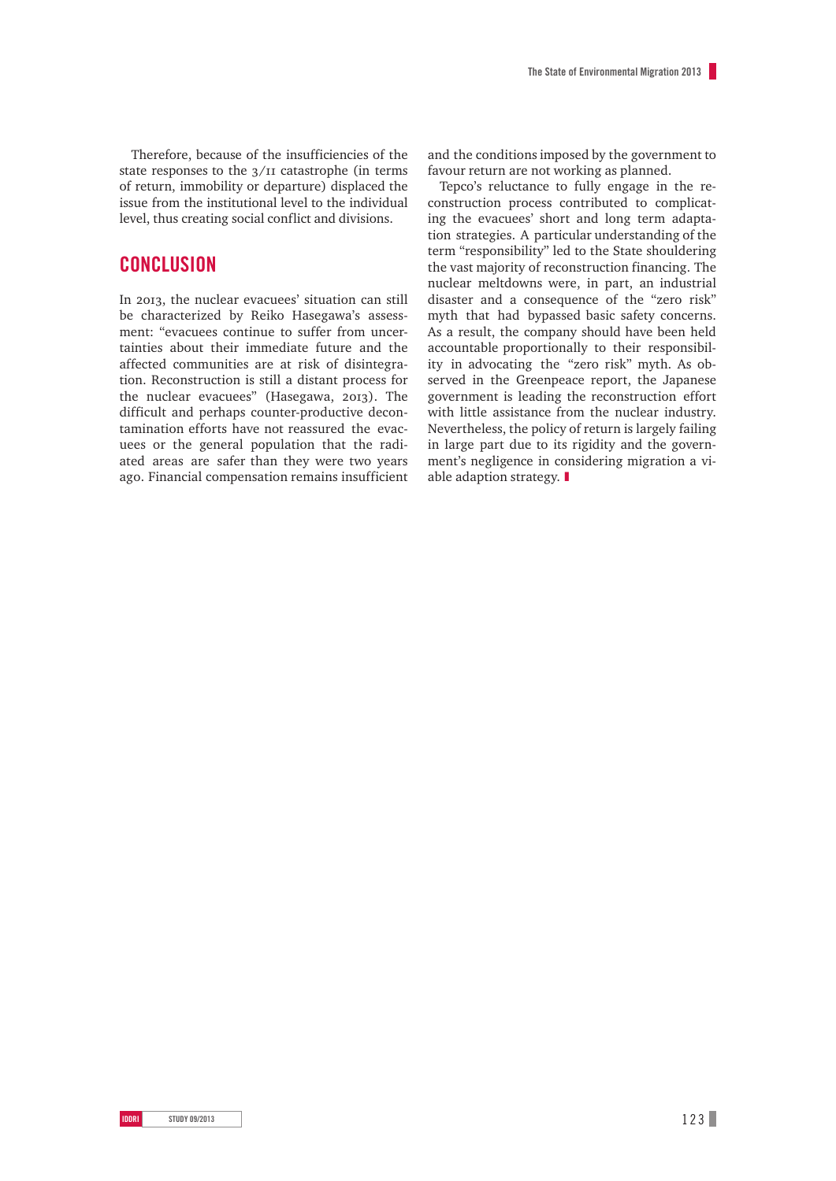Therefore, because of the insufficiencies of the state responses to the  $3/II$  catastrophe (in terms of return, immobility or departure) displaced the issue from the institutional level to the individual level, thus creating social conflict and divisions.

## **CONCLUSION**

In 2013, the nuclear evacuees' situation can still be characterized by Reiko Hasegawa's assessment: "evacuees continue to suffer from uncertainties about their immediate future and the affected communities are at risk of disintegration. Reconstruction is still a distant process for the nuclear evacuees" (Hasegawa, 2013). The difficult and perhaps counter-productive decontamination efforts have not reassured the evacuees or the general population that the radiated areas are safer than they were two years ago. Financial compensation remains insufficient and the conditions imposed by the government to favour return are not working as planned.

Tepco's reluctance to fully engage in the reconstruction process contributed to complicating the evacuees' short and long term adaptation strategies. A particular understanding of the term "responsibility" led to the State shouldering the vast majority of reconstruction financing. The nuclear meltdowns were, in part, an industrial disaster and a consequence of the "zero risk" myth that had bypassed basic safety concerns. As a result, the company should have been held accountable proportionally to their responsibility in advocating the "zero risk" myth. As observed in the Greenpeace report, the Japanese government is leading the reconstruction effort with little assistance from the nuclear industry. Nevertheless, the policy of return is largely failing in large part due to its rigidity and the government's negligence in considering migration a viable adaption strategy.  $\blacksquare$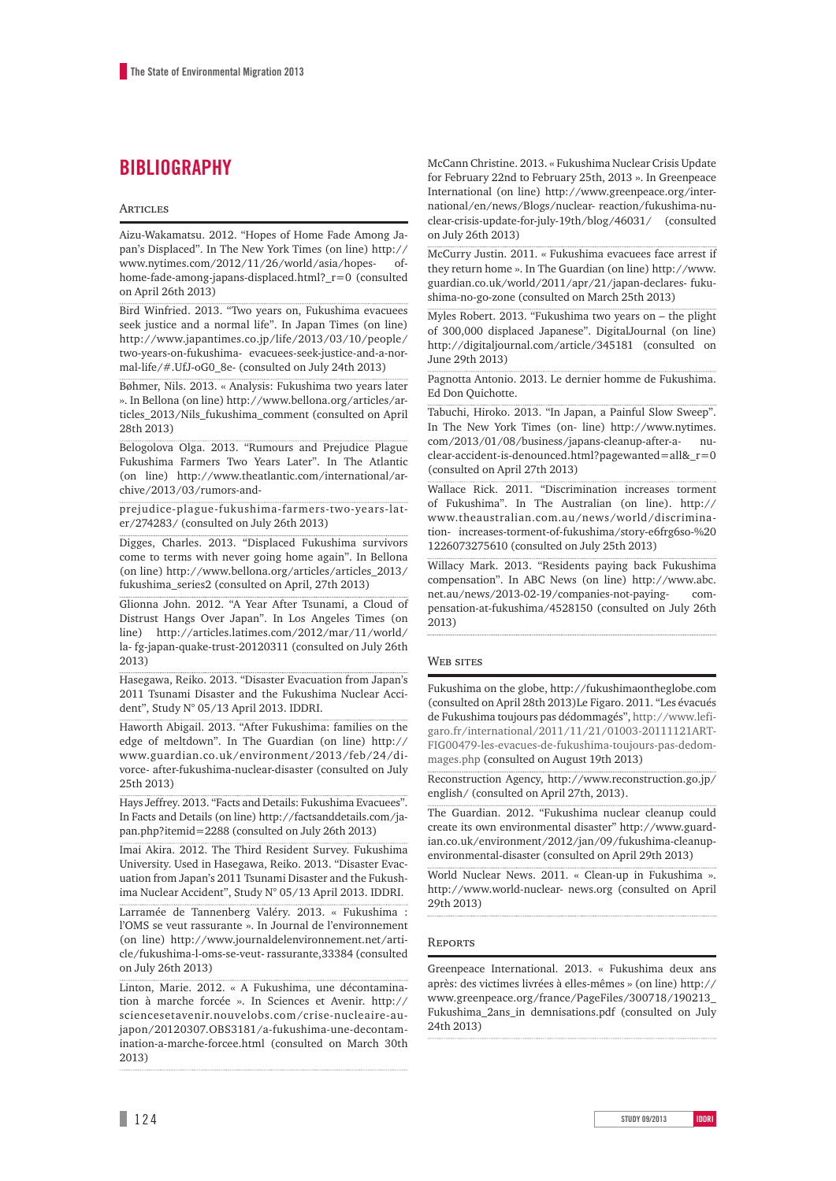# **BIBLIOGRAPHY**

#### **ARTICLES**

Aizu-Wakamatsu. 2012. "Hopes of Home Fade Among Japan's Displaced". In The New York Times (on line) [http://](http://www.nytimes.com/2012/11/26/world/asia/hopes-of-home-fade-among-japans-displaced.html?_r=0) [www.nytimes.com/2012/11/26/world/asia/hopes- of](http://www.nytimes.com/2012/11/26/world/asia/hopes-of-home-fade-among-japans-displaced.html?_r=0)[home-fade-among-japans-displaced.html?\\_r=0](http://www.nytimes.com/2012/11/26/world/asia/hopes-of-home-fade-among-japans-displaced.html?_r=0) (consulted on April 26th 2013)

Bird Winfried. 2013. "Two years on, Fukushima evacuees seek justice and a normal life". In Japan Times (on line) http://www.japantimes.co.jp/life/2013/03/10/people/ two-years-on-fukushima- evacuees-seek-justice-and-a-normal-life/#.UfJ-oG0\_8e- (consulted on July 24th 2013)

Bøhmer, Nils. 2013. « Analysis: Fukushima two years later ». In Bellona (on line) [http://www.bellona.org/articles/ar](http://www.bellona.org/articles/articles_2013/Nils_fukushima_comment)[ticles\\_2013/Nils\\_fukushima\\_comment](http://www.bellona.org/articles/articles_2013/Nils_fukushima_comment) (consulted on April 28th 2013)

Belogolova Olga. 2013. "Rumours and Prejudice Plague Fukushima Farmers Two Years Later". In The Atlantic (on line) [http://www.theatlantic.com/international/ar](http://www.theatlantic.com/international/archive/2013/03/rumors-and-prejudice-plague-fukushima-farmers-two-years-later/274283/)[chive/2013/03/rumors-and-](http://www.theatlantic.com/international/archive/2013/03/rumors-and-prejudice-plague-fukushima-farmers-two-years-later/274283/)

[prejudice-plague-fukushima-farmers-two-years-lat](http://www.theatlantic.com/international/archive/2013/03/rumors-and-prejudice-plague-fukushima-farmers-two-years-later/274283/)[er/274283/ \(](http://www.theatlantic.com/international/archive/2013/03/rumors-and-prejudice-plague-fukushima-farmers-two-years-later/274283/)consulted on July 26th 2013)

Digges, Charles. 2013. "Displaced Fukushima survivors come to terms with never going home again". In Bellona (on line) [http://www.bellona.org/articles/articles\\_2013/](http://www.bellona.org/articles/articles_2013/fukushima_series2) [fukushima\\_series2 \(](http://www.bellona.org/articles/articles_2013/fukushima_series2)consulted on April, 27th 2013)

Glionna John. 2012. "A Year After Tsunami, a Cloud of Distrust Hangs Over Japan". In Los Angeles Times (on line) http://articles.latimes.com/2012/mar/11/world/ la- [fg-japan-quake-trust-20120311 \(](http://articles.latimes.com/2012/mar/11/world/la-fg-japan-quake-trust-20120311)consulted on July 26th 2013)

Hasegawa, Reiko. 2013. "Disaster Evacuation from Japan's 2011 Tsunami Disaster and the Fukushima Nuclear Accident", Study N° 05/13 April 2013. IDDRI.

Haworth Abigail. 2013. "After Fukushima: families on the edge of meltdown". In The Guardian (on line) [http://](http://www.guardian.co.uk/environment/2013/feb/24/divorce-after-fukushima-nuclear-disaster) [www.guardian.co.uk/environment/2013/feb/24/di](http://www.guardian.co.uk/environment/2013/feb/24/divorce-after-fukushima-nuclear-disaster)[vorce- after-fukushima-nuclear-disaster](http://www.guardian.co.uk/environment/2013/feb/24/divorce-after-fukushima-nuclear-disaster) (consulted on July 25th 2013)

Hays Jeffrey. 2013. "Facts and Details: Fukushima Evacuees". In Facts and Details (on line) [http://factsanddetails.com/ja](http://factsanddetails.com/japan.php?itemid=2288)[pan.php?itemid=2288](http://factsanddetails.com/japan.php?itemid=2288) (consulted on July 26th 2013)

Imai Akira. 2012. The Third Resident Survey. Fukushima University. Used in Hasegawa, Reiko. 2013. "Disaster Evacuation from Japan's 2011 Tsunami Disaster and the Fukushima Nuclear Accident", Study N° 05/13 April 2013. IDDRI.

Larramée de Tannenberg Valéry. 2013. « Fukushima : l'OMS se veut rassurante ». In Journal de l'environnement (on line) [http://www.journaldelenvironnement.net/arti](http://www.journaldelenvironnement.net/article/fukushima-l-oms-se-veut-rassurante%2C33384)[cle/fukushima-l-oms-se-veut- rassurante,33384](http://www.journaldelenvironnement.net/article/fukushima-l-oms-se-veut-rassurante%2C33384) (consulted on July 26th 2013)

Linton, Marie. 2012. « A Fukushima, une décontamination à marche forcée ». In Sciences et Avenir. [http://](http://sciencesetavenir.nouvelobs.com/crise-nucleaire-au-japon/20120307.OBS3181/a-fukushima-une-decontamination-a-marche-forcee.html) [sciencesetavenir.nouvelobs.com/crise-nucleaire-au](http://sciencesetavenir.nouvelobs.com/crise-nucleaire-au-japon/20120307.OBS3181/a-fukushima-une-decontamination-a-marche-forcee.html)[japon/20120307.OBS3181/a-fukushima-une-decontam](http://sciencesetavenir.nouvelobs.com/crise-nucleaire-au-japon/20120307.OBS3181/a-fukushima-une-decontamination-a-marche-forcee.html)[ination-a-marche-forcee.html \(](http://sciencesetavenir.nouvelobs.com/crise-nucleaire-au-japon/20120307.OBS3181/a-fukushima-une-decontamination-a-marche-forcee.html)consulted on March 30th 2013)

McCann Christine. 2013. « Fukushima Nuclear Crisis Update for February 22nd to February 25th, 2013 ». In Greenpeace International (on line) [http://www.greenpeace.org/inter](http://www.greenpeace.org/international/en/news/Blogs/nuclear-reaction/fukushima-nuclear-crisis-update-for-july-19th/blog/46031/)[national/en/news/Blogs/nuclear- reaction/fukushima-nu](http://www.greenpeace.org/international/en/news/Blogs/nuclear-reaction/fukushima-nuclear-crisis-update-for-july-19th/blog/46031/)[clear-crisis-update-for-july-19th/blog/46031/](http://www.greenpeace.org/international/en/news/Blogs/nuclear-reaction/fukushima-nuclear-crisis-update-for-july-19th/blog/46031/) (consulted on July 26th 2013)

McCurry Justin. 2011. « Fukushima evacuees face arrest if they return home ». In The Guardian (on line) [http://www.](http://www.guardian.co.uk/world/2011/apr/21/japan-declares-fukushima-no-go-zone) [guardian.co.uk/world/2011/apr/21/japan-declares- fuku](http://www.guardian.co.uk/world/2011/apr/21/japan-declares-fukushima-no-go-zone)[shima-no-go-zone \(](http://www.guardian.co.uk/world/2011/apr/21/japan-declares-fukushima-no-go-zone)consulted on March 25th 2013)

Myles Robert. 2013. "Fukushima two years on – the plight of 300,000 displaced Japanese". DigitalJournal (on line) [http://digitaljournal.com/article/345181 \(](http://digitaljournal.com/article/345181)consulted on June 29th 2013)

Pagnotta Antonio. 2013. Le dernier homme de Fukushima. Ed Don Quichotte.

Tabuchi, Hiroko. 2013. "In Japan, a Painful Slow Sweep". In The New York Times (on- line) [http://www.nytimes.](http://www.nytimes.com/2013/01/08/business/japans-cleanup-after-a-nuclear-accident-is-denounced.html?pagewanted=all&_r=0) [com/2013/01/08/business/japans-cleanup-after-a- nu](http://www.nytimes.com/2013/01/08/business/japans-cleanup-after-a-nuclear-accident-is-denounced.html?pagewanted=all&_r=0)[clear-accident-is-denounced.html?pagewanted=all&\\_r=0](http://www.nytimes.com/2013/01/08/business/japans-cleanup-after-a-nuclear-accident-is-denounced.html?pagewanted=all&_r=0) (consulted on April 27th 2013)

Wallace Rick. 2011. "Discrimination increases torment of Fukushima". In The Australian (on line). [http://](http://www.theaustralian.com.au/news/world/discrimination-increases-torment-of-fukushima/story-e6frg6so-%201226073275610) [www.theaustralian.com.au/news/world/discrimina](http://www.theaustralian.com.au/news/world/discrimination-increases-torment-of-fukushima/story-e6frg6so-%201226073275610)[tion- increases-torment-of-fukushima/story-e6frg6so-%20](http://www.theaustralian.com.au/news/world/discrimination-increases-torment-of-fukushima/story-e6frg6so-%201226073275610) [1226073275610 \(](http://www.theaustralian.com.au/news/world/discrimination-increases-torment-of-fukushima/story-e6frg6so-%201226073275610)consulted on July 25th 2013)

Willacy Mark. 2013. "Residents paying back Fukushima compensation". In ABC News (on line) [http://www.abc.](http://www.abc.net.au/news/2013-02-19/companies-not-paying-compensation-at-fukushima/4528150) [net.au/news/2013-02-19/companies-not-paying- com](http://www.abc.net.au/news/2013-02-19/companies-not-paying-compensation-at-fukushima/4528150)[pensation-at-fukushima/4528150](http://www.abc.net.au/news/2013-02-19/companies-not-paying-compensation-at-fukushima/4528150) (consulted on July 26th 2013)

#### **WEB SITES**

Fukushima on the globe, http://fukushimaontheglobe.com (consulted on April 28th 2013)Le Figaro. 2011. "Les évacués de Fukushima toujours pas dédommagés", [http://www.lefi](http://www.lefigaro.fr/international/2011/11/21/01003-20111121ARTFIG00479-les-evacues-de-fukushima-toujours-pas-dedommages.php)[garo.fr/international/2011/11/21/01003-20111121ART-](http://www.lefigaro.fr/international/2011/11/21/01003-20111121ARTFIG00479-les-evacues-de-fukushima-toujours-pas-dedommages.php)[FIG00479-les-evacues-de-fukushima-toujours-pas-dedom](http://www.lefigaro.fr/international/2011/11/21/01003-20111121ARTFIG00479-les-evacues-de-fukushima-toujours-pas-dedommages.php)[mages.php](http://www.lefigaro.fr/international/2011/11/21/01003-20111121ARTFIG00479-les-evacues-de-fukushima-toujours-pas-dedommages.php) (consulted on August 19th 2013)

Reconstruction Agency, http://www.reconstruction.go.jp/ english/ (consulted on April 27th, 2013).

The Guardian. 2012. "Fukushima nuclear cleanup could create its own environmental disaster" [http://www.guard](http://www.guardian.co.uk/environment/2012/jan/09/fukushima-cleanup-environmental-disaster)[ian.co.uk/environment/2012/jan/09/fukushima-cleanup](http://www.guardian.co.uk/environment/2012/jan/09/fukushima-cleanup-environmental-disaster)[environmental-disaster \(](http://www.guardian.co.uk/environment/2012/jan/09/fukushima-cleanup-environmental-disaster)consulted on April 29th 2013)

World Nuclear News. 2011. « Clean-up in Fukushima ». [http://www.world-nuclear- news.org](http://www.world-nuclear-news.org/) (consulted on April 29th 2013)

#### **REPORTS**

Greenpeace International. 2013. « Fukushima deux ans après: des victimes livrées à elles-mêmes » (on line) [http://](http://www.greenpeace.org/france/PageFiles/300718/190213_Fukushima_2ans_indemnisations.pdf) [www.greenpeace.org/france/PageFiles/300718/190213\\_](http://www.greenpeace.org/france/PageFiles/300718/190213_Fukushima_2ans_indemnisations.pdf) Fukushima 2ans in demnisations.pdf (consulted on July 24th 2013)